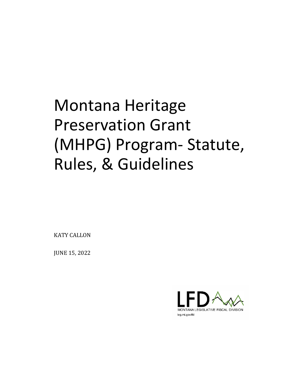# Montana Heritage Preservation Grant (MHPG) Program- Statute, Rules, & Guidelines

KATY CALLON

JUNE 15, 2022

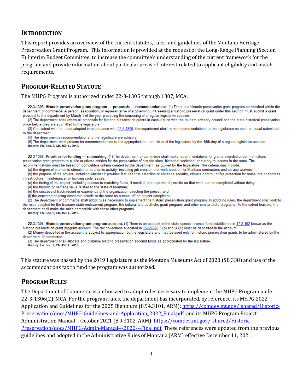#### **INTRODUCTION**

This report provides an overview of the current statutes, rules, and guidelines of the Montana Heritage Preservation Grant Program. This information is provided at the request of the Long-Range Planning (Section F) Interim Budget Committee, to increase the committee's understanding of the current framework for the program and provide information about particular areas of interest related to applicant eligibility and match requirements.

## **PROGRAM-RELATED STATUTE**

The MHPG Program is authorized under 22-3-1305 through 1307, MCA:

22-3-1305. Historic preservation grant program - proposals - recommendations. (1) There is a historic preservation grant program established within the department of commerce. A person, association, or representative of a governing unit seeking a historic preservation grant under this section must submit a grant proposal to the department by March 1 of the year preceding the convening of a regular legislative session.

(2) The department shall review all proposals for historic preservation grants in consultation with the tourism advisory council and the state historical preservation office before they are submitted to the legislature.

(3) Consistent with the rules adopted in accordance with 22-3-1306, the department shall make recommendations to the legislature on each proposal submitted to the department.

(4) The department's recommendations to the legislature are advisory.

(5) The department shall present its recommendations to the appropriations committee of the legislature by the 15th day of a regular legislative session. History: En. Sec. 5, Ch. 459, L. 2019.

22-3-1306. Priorities for funding - rulemaking. (1) The department of commerce shall make recommendations for grants awarded under the historic preservation grant program to public or private entities for the preservation of historic sites, historical societies, or history museums in the state. The recommendations must be based on competitive criteria created by the department, as guided by the legislature. The criteria may include:

(a) the degree of economic stimulus or economic activity, including job creation and work creation for Montana contractors and service workers;

(b) the purpose of the project, including whether it provides features that establish or enhance security, climate control, or fire protection for museums or address infrastructure, maintenance, or building code issues;

(c) the timing of the project, including access to matching funds, if needed, and approval of permits so that work can be completed without delay;

(d) the historic or heritage value related to the state of Montana;

(e) the successful track record or experience of the organization directing the project; and

(f) the expected ongoing economic benefit to the state as a result of the project completion.

(2) The department of commerce shall adopt rules necessary to implement the historic preservation grant program. In adopting rules, the department shall look to the rules adopted for the treasure state endowment program, the cultural and aesthetic grant program, and other similar state programs. To the extent feasible, the department shall make the rules compatible with those other programs.

History: En. Sec. 6, Ch. 459, L. 2019.

22-3-1307. Historic preservation grant program account. (1) There is an account in the state special revenue fund established in 17-2-102 known as the historic preservation grant program account. The tax collections allocated in 15-68-820(3)(b) and (4)(c) must be deposited in the account.

(2) Money deposited in the account is subject to appropriation by the legislature and may be used only for historic preservation grants to be administered by the department of commerce.

(3) The department shall allocate and disburse historic preservation account funds as appropriated by the legislature. History: En. Sec. 7, Ch. 459, L. 2019.

This statute was passed by the 2019 Legislature as the Montana Museums Act of 2020 (SB 338) and use of the accommodations tax to fund the program was authorized.

#### **PROGRAM RULES**

The Department of Commerce is authorized to adopt rules necessary to implement the MHPG Program under 22-3-1306(2), MCA. For the program rules, the department has incorporated, by reference, its MHPG 2022 Application and Guidelines for the 2025 Biennium (8.94.3101, ARM): https://comdev.mt.gov/ shared/Historic-[Preservation/docs/MHPG-Guidelines-and-Application\\_2022\\_Final.pdf](https://comdev.mt.gov/_shared/Historic-Preservation/docs/MHPG-Guidelines-and-Application_2022_Final.pdf) and its MHPG Program Project Administration Manual – October 2021 (8.9.3102, ARM): [https://comdev.mt.gov/\\_shared/Historic-](https://comdev.mt.gov/_shared/Historic-Preservation/docs/MHPG-Admin-Manual---2022---Final.pdf)[Preservation/docs/MHPG-Admin-Manual---2022---Final.pdf](https://comdev.mt.gov/_shared/Historic-Preservation/docs/MHPG-Admin-Manual---2022---Final.pdf) These references were updated from the previous guidelines and adopted in the Administrative Rules of Montana (ARM) effective December 11, 2021.